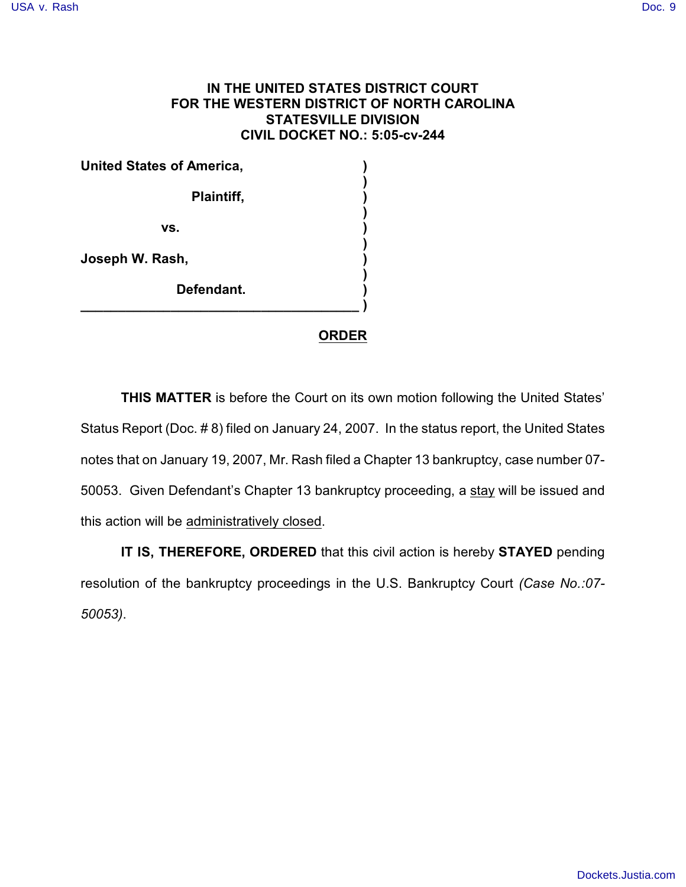## **IN THE UNITED STATES DISTRICT COURT FOR THE WESTERN DISTRICT OF NORTH CAROLINA STATESVILLE DIVISION CIVIL DOCKET NO.: 5:05-cv-244**

**United States of America, ) ) Plaintiff, ) ) vs. ) ) Joseph W. Rash, ) ) Defendant. ) \_\_\_\_\_\_\_\_\_\_\_\_\_\_\_\_\_\_\_\_\_\_\_\_\_\_\_\_\_\_\_\_\_\_\_\_\_ )** 

## **ORDER**

**THIS MATTER** is before the Court on its own motion following the United States' Status Report (Doc. # 8) filed on January 24, 2007. In the status report, the United States notes that on January 19, 2007, Mr. Rash filed a Chapter 13 bankruptcy, case number 07- 50053. Given Defendant's Chapter 13 bankruptcy proceeding, a stay will be issued and this action will be administratively closed.

**IT IS, THEREFORE, ORDERED** that this civil action is hereby **STAYED** pending resolution of the bankruptcy proceedings in the U.S. Bankruptcy Court *(Case No.:07- 50053)*.